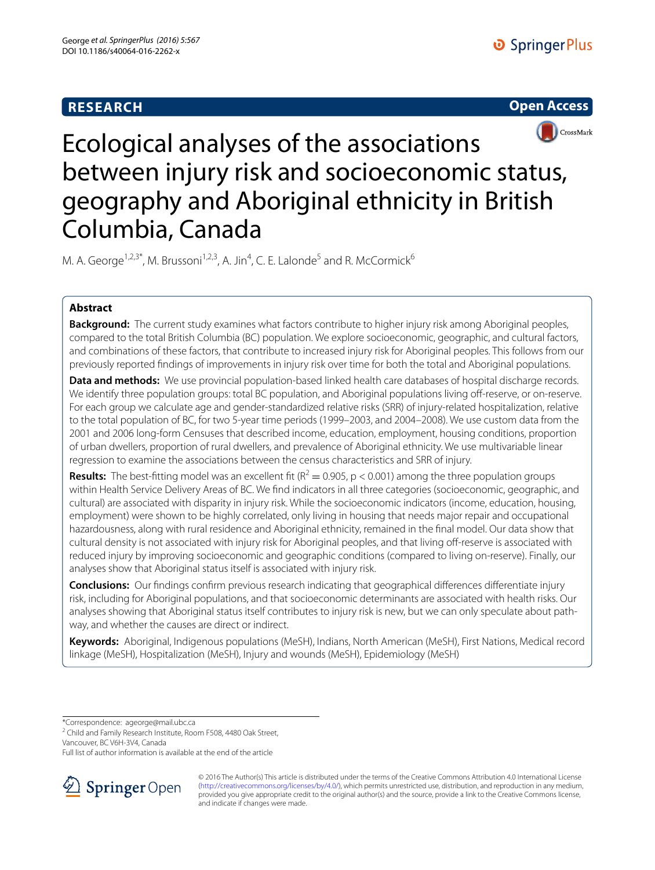# **RESEARCH**





# Ecological analyses of the associations between injury risk and socioeconomic status, geography and Aboriginal ethnicity in British Columbia, Canada

M. A. George<sup>1,2,3\*</sup>, M. Brussoni<sup>1,2,3</sup>, A. Jin<sup>4</sup>, C. E. Lalonde<sup>5</sup> and R. McCormick<sup>6</sup>

# **Abstract**

**Background:** The current study examines what factors contribute to higher injury risk among Aboriginal peoples, compared to the total British Columbia (BC) population. We explore socioeconomic, geographic, and cultural factors, and combinations of these factors, that contribute to increased injury risk for Aboriginal peoples. This follows from our previously reported findings of improvements in injury risk over time for both the total and Aboriginal populations.

**Data and methods:** We use provincial population-based linked health care databases of hospital discharge records. We identify three population groups: total BC population, and Aboriginal populations living off-reserve, or on-reserve. For each group we calculate age and gender-standardized relative risks (SRR) of injury-related hospitalization, relative to the total population of BC, for two 5-year time periods (1999–2003, and 2004–2008). We use custom data from the 2001 and 2006 long-form Censuses that described income, education, employment, housing conditions, proportion of urban dwellers, proportion of rural dwellers, and prevalence of Aboriginal ethnicity. We use multivariable linear regression to examine the associations between the census characteristics and SRR of injury.

**Results:** The best-fitting model was an excellent fit ( $R^2 = 0.905$ ,  $p < 0.001$ ) among the three population groups within Health Service Delivery Areas of BC. We find indicators in all three categories (socioeconomic, geographic, and cultural) are associated with disparity in injury risk. While the socioeconomic indicators (income, education, housing, employment) were shown to be highly correlated, only living in housing that needs major repair and occupational hazardousness, along with rural residence and Aboriginal ethnicity, remained in the final model. Our data show that cultural density is not associated with injury risk for Aboriginal peoples, and that living off-reserve is associated with reduced injury by improving socioeconomic and geographic conditions (compared to living on-reserve). Finally, our analyses show that Aboriginal status itself is associated with injury risk.

**Conclusions:** Our findings confirm previous research indicating that geographical differences differentiate injury risk, including for Aboriginal populations, and that socioeconomic determinants are associated with health risks. Our analyses showing that Aboriginal status itself contributes to injury risk is new, but we can only speculate about pathway, and whether the causes are direct or indirect.

**Keywords:** Aboriginal, Indigenous populations (MeSH), Indians, North American (MeSH), First Nations, Medical record linkage (MeSH), Hospitalization (MeSH), Injury and wounds (MeSH), Epidemiology (MeSH)

\*Correspondence: ageorge@mail.ubc.ca

Vancouver, BC V6H-3V4, Canada

Full list of author information is available at the end of the article



<sup>© 2016</sup> The Author(s) This article is distributed under the terms of the Creative Commons Attribution 4.0 International License [\(http://creativecommons.org/licenses/by/4.0/\)](http://creativecommons.org/licenses/by/4.0/), which permits unrestricted use, distribution, and reproduction in any medium, provided you give appropriate credit to the original author(s) and the source, provide a link to the Creative Commons license, and indicate if changes were made.

<sup>&</sup>lt;sup>2</sup> Child and Family Research Institute, Room F508, 4480 Oak Street,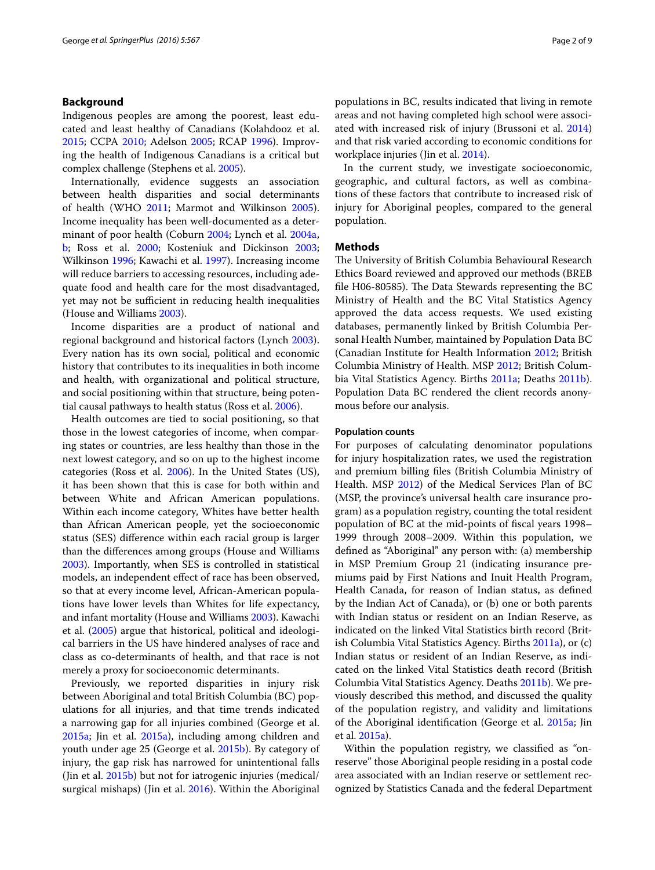#### **Background**

Indigenous peoples are among the poorest, least educated and least healthy of Canadians (Kolahdooz et al. [2015](#page-8-0); CCPA [2010;](#page-7-0) Adelson [2005](#page-7-1); RCAP [1996\)](#page-8-1). Improving the health of Indigenous Canadians is a critical but complex challenge (Stephens et al. [2005](#page-8-2)).

Internationally, evidence suggests an association between health disparities and social determinants of health (WHO [2011;](#page-8-3) Marmot and Wilkinson [2005](#page-8-4)). Income inequality has been well-documented as a determinant of poor health (Coburn [2004](#page-7-2); Lynch et al. [2004a](#page-8-5), [b;](#page-8-6) Ross et al. [2000;](#page-8-7) Kosteniuk and Dickinson [2003](#page-8-8); Wilkinson [1996](#page-8-9); Kawachi et al. [1997\)](#page-8-10). Increasing income will reduce barriers to accessing resources, including adequate food and health care for the most disadvantaged, yet may not be sufficient in reducing health inequalities (House and Williams [2003](#page-8-11)).

Income disparities are a product of national and regional background and historical factors (Lynch [2003](#page-8-12)). Every nation has its own social, political and economic history that contributes to its inequalities in both income and health, with organizational and political structure, and social positioning within that structure, being potential causal pathways to health status (Ross et al. [2006\)](#page-8-13).

Health outcomes are tied to social positioning, so that those in the lowest categories of income, when comparing states or countries, are less healthy than those in the next lowest category, and so on up to the highest income categories (Ross et al. [2006\)](#page-8-13). In the United States (US), it has been shown that this is case for both within and between White and African American populations. Within each income category, Whites have better health than African American people, yet the socioeconomic status (SES) difference within each racial group is larger than the differences among groups (House and Williams [2003](#page-8-11)). Importantly, when SES is controlled in statistical models, an independent effect of race has been observed, so that at every income level, African-American populations have lower levels than Whites for life expectancy, and infant mortality (House and Williams [2003](#page-8-11)). Kawachi et al. ([2005](#page-8-14)) argue that historical, political and ideological barriers in the US have hindered analyses of race and class as co-determinants of health, and that race is not merely a proxy for socioeconomic determinants.

Previously, we reported disparities in injury risk between Aboriginal and total British Columbia (BC) populations for all injuries, and that time trends indicated a narrowing gap for all injuries combined (George et al. [2015a;](#page-7-3) Jin et al. [2015a\)](#page-8-15), including among children and youth under age 25 (George et al. [2015b](#page-8-16)). By category of injury, the gap risk has narrowed for unintentional falls (Jin et al. [2015b](#page-8-17)) but not for iatrogenic injuries (medical/ surgical mishaps) (Jin et al. [2016\)](#page-8-18). Within the Aboriginal populations in BC, results indicated that living in remote areas and not having completed high school were associated with increased risk of injury (Brussoni et al. [2014](#page-7-4)) and that risk varied according to economic conditions for workplace injuries (Jin et al. [2014](#page-8-19)).

In the current study, we investigate socioeconomic, geographic, and cultural factors, as well as combinations of these factors that contribute to increased risk of injury for Aboriginal peoples, compared to the general population.

#### **Methods**

The University of British Columbia Behavioural Research Ethics Board reviewed and approved our methods (BREB file H06-80585). The Data Stewards representing the BC Ministry of Health and the BC Vital Statistics Agency approved the data access requests. We used existing databases, permanently linked by British Columbia Personal Health Number, maintained by Population Data BC (Canadian Institute for Health Information [2012;](#page-7-5) British Columbia Ministry of Health. MSP [2012;](#page-7-5) British Columbia Vital Statistics Agency. Births [2011a;](#page-7-6) Deaths [2011b](#page-7-7)). Population Data BC rendered the client records anonymous before our analysis.

#### **Population counts**

For purposes of calculating denominator populations for injury hospitalization rates, we used the registration and premium billing files (British Columbia Ministry of Health. MSP [2012\)](#page-7-8) of the Medical Services Plan of BC (MSP, the province's universal health care insurance program) as a population registry, counting the total resident population of BC at the mid-points of fiscal years 1998– 1999 through 2008–2009. Within this population, we defined as "Aboriginal" any person with: (a) membership in MSP Premium Group 21 (indicating insurance premiums paid by First Nations and Inuit Health Program, Health Canada, for reason of Indian status, as defined by the Indian Act of Canada), or (b) one or both parents with Indian status or resident on an Indian Reserve, as indicated on the linked Vital Statistics birth record (British Columbia Vital Statistics Agency. Births [2011a\)](#page-7-6), or (c) Indian status or resident of an Indian Reserve, as indicated on the linked Vital Statistics death record (British Columbia Vital Statistics Agency. Deaths [2011b\)](#page-7-7). We previously described this method, and discussed the quality of the population registry, and validity and limitations of the Aboriginal identification (George et al. [2015a;](#page-7-3) Jin et al. [2015a](#page-8-15)).

Within the population registry, we classified as "onreserve" those Aboriginal people residing in a postal code area associated with an Indian reserve or settlement recognized by Statistics Canada and the federal Department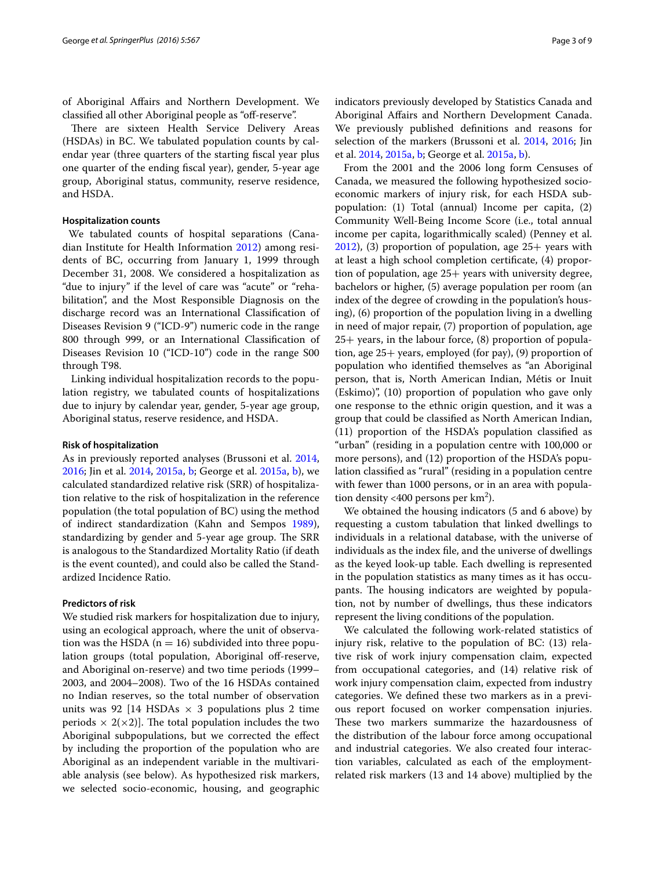of Aboriginal Affairs and Northern Development. We classified all other Aboriginal people as "off-reserve".

There are sixteen Health Service Delivery Areas (HSDAs) in BC. We tabulated population counts by calendar year (three quarters of the starting fiscal year plus one quarter of the ending fiscal year), gender, 5-year age group, Aboriginal status, community, reserve residence, and HSDA.

## **Hospitalization counts**

 We tabulated counts of hospital separations (Canadian Institute for Health Information [2012](#page-7-5)) among residents of BC, occurring from January 1, 1999 through December 31, 2008. We considered a hospitalization as "due to injury" if the level of care was "acute" or "rehabilitation", and the Most Responsible Diagnosis on the discharge record was an International Classification of Diseases Revision 9 ("ICD-9") numeric code in the range 800 through 999, or an International Classification of Diseases Revision 10 ("ICD-10") code in the range S00 through T98.

Linking individual hospitalization records to the population registry, we tabulated counts of hospitalizations due to injury by calendar year, gender, 5-year age group, Aboriginal status, reserve residence, and HSDA.

#### **Risk of hospitalization**

As in previously reported analyses (Brussoni et al. [2014](#page-7-4), [2016](#page-7-9); Jin et al. [2014](#page-8-19), [2015a](#page-8-15), [b;](#page-8-17) George et al. [2015a,](#page-7-3) [b](#page-8-16)), we calculated standardized relative risk (SRR) of hospitalization relative to the risk of hospitalization in the reference population (the total population of BC) using the method of indirect standardization (Kahn and Sempos [1989](#page-8-20)), standardizing by gender and 5-year age group. The SRR is analogous to the Standardized Mortality Ratio (if death is the event counted), and could also be called the Standardized Incidence Ratio.

#### **Predictors of risk**

We studied risk markers for hospitalization due to injury, using an ecological approach, where the unit of observation was the HSDA ( $n = 16$ ) subdivided into three population groups (total population, Aboriginal off-reserve, and Aboriginal on-reserve) and two time periods (1999– 2003, and 2004–2008). Two of the 16 HSDAs contained no Indian reserves, so the total number of observation units was 92 [14 HSDAs  $\times$  3 populations plus 2 time periods  $\times$  2( $\times$ 2)]. The total population includes the two Aboriginal subpopulations, but we corrected the effect by including the proportion of the population who are Aboriginal as an independent variable in the multivariable analysis (see below). As hypothesized risk markers, we selected socio-economic, housing, and geographic Aboriginal Affairs and Northern Development Canada. We previously published definitions and reasons for selection of the markers (Brussoni et al. [2014](#page-7-4), [2016;](#page-7-9) Jin et al. [2014](#page-8-19), [2015a,](#page-8-15) [b;](#page-8-17) George et al. [2015a](#page-7-3), [b](#page-8-16)). From the 2001 and the 2006 long form Censuses of

Canada, we measured the following hypothesized socioeconomic markers of injury risk, for each HSDA subpopulation: (1) Total (annual) Income per capita, (2) Community Well-Being Income Score (i.e., total annual income per capita, logarithmically scaled) (Penney et al.  $2012$ ), (3) proportion of population, age  $25+$  years with at least a high school completion certificate, (4) proportion of population, age  $25+$  years with university degree, bachelors or higher, (5) average population per room (an index of the degree of crowding in the population's housing), (6) proportion of the population living in a dwelling in need of major repair, (7) proportion of population, age 25+ years, in the labour force, (8) proportion of population, age 25+ years, employed (for pay), (9) proportion of population who identified themselves as "an Aboriginal person, that is, North American Indian, Métis or Inuit (Eskimo)", (10) proportion of population who gave only one response to the ethnic origin question, and it was a group that could be classified as North American Indian, (11) proportion of the HSDA's population classified as "urban" (residing in a population centre with 100,000 or more persons), and (12) proportion of the HSDA's population classified as "rural" (residing in a population centre with fewer than 1000 persons, or in an area with population density <400 persons per  $\text{km}^2$ ).

We obtained the housing indicators (5 and 6 above) by requesting a custom tabulation that linked dwellings to individuals in a relational database, with the universe of individuals as the index file, and the universe of dwellings as the keyed look-up table. Each dwelling is represented in the population statistics as many times as it has occupants. The housing indicators are weighted by population, not by number of dwellings, thus these indicators represent the living conditions of the population.

We calculated the following work-related statistics of injury risk, relative to the population of BC: (13) relative risk of work injury compensation claim, expected from occupational categories, and (14) relative risk of work injury compensation claim, expected from industry categories. We defined these two markers as in a previous report focused on worker compensation injuries. These two markers summarize the hazardousness of the distribution of the labour force among occupational and industrial categories. We also created four interaction variables, calculated as each of the employmentrelated risk markers (13 and 14 above) multiplied by the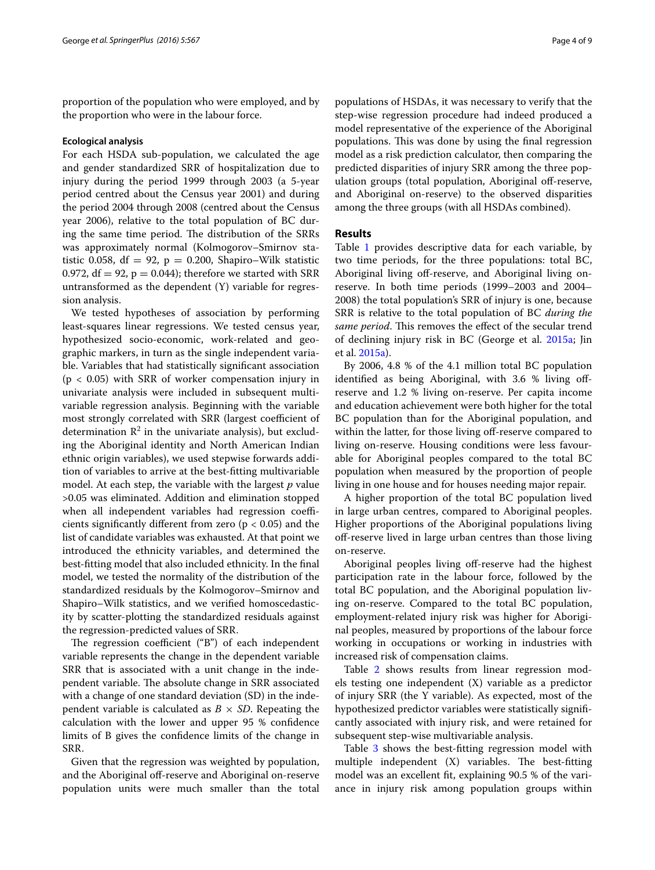proportion of the population who were employed, and by the proportion who were in the labour force.

#### **Ecological analysis**

For each HSDA sub-population, we calculated the age and gender standardized SRR of hospitalization due to injury during the period 1999 through 2003 (a 5-year period centred about the Census year 2001) and during the period 2004 through 2008 (centred about the Census year 2006), relative to the total population of BC during the same time period. The distribution of the SRRs was approximately normal (Kolmogorov–Smirnov statistic 0.058, df = 92,  $p = 0.200$ , Shapiro–Wilk statistic 0.972,  $df = 92$ ,  $p = 0.044$ ); therefore we started with SRR untransformed as the dependent (Y) variable for regression analysis.

We tested hypotheses of association by performing least-squares linear regressions. We tested census year, hypothesized socio-economic, work-related and geographic markers, in turn as the single independent variable. Variables that had statistically significant association  $(p < 0.05)$  with SRR of worker compensation injury in univariate analysis were included in subsequent multivariable regression analysis. Beginning with the variable most strongly correlated with SRR (largest coefficient of determination  $\mathbb{R}^2$  in the univariate analysis), but excluding the Aboriginal identity and North American Indian ethnic origin variables), we used stepwise forwards addition of variables to arrive at the best-fitting multivariable model. At each step, the variable with the largest *p* value >0.05 was eliminated. Addition and elimination stopped when all independent variables had regression coefficients significantly different from zero ( $p < 0.05$ ) and the list of candidate variables was exhausted. At that point we introduced the ethnicity variables, and determined the best-fitting model that also included ethnicity. In the final model, we tested the normality of the distribution of the standardized residuals by the Kolmogorov–Smirnov and Shapiro–Wilk statistics, and we verified homoscedasticity by scatter-plotting the standardized residuals against the regression-predicted values of SRR.

The regression coefficient ("B") of each independent variable represents the change in the dependent variable SRR that is associated with a unit change in the independent variable. The absolute change in SRR associated with a change of one standard deviation (SD) in the independent variable is calculated as  $B \times SD$ . Repeating the calculation with the lower and upper 95 % confidence limits of B gives the confidence limits of the change in SRR.

Given that the regression was weighted by population, and the Aboriginal off-reserve and Aboriginal on-reserve population units were much smaller than the total

populations of HSDAs, it was necessary to verify that the step-wise regression procedure had indeed produced a model representative of the experience of the Aboriginal populations. This was done by using the final regression model as a risk prediction calculator, then comparing the predicted disparities of injury SRR among the three population groups (total population, Aboriginal off-reserve, and Aboriginal on-reserve) to the observed disparities among the three groups (with all HSDAs combined).

#### **Results**

Table [1](#page-4-0) provides descriptive data for each variable, by two time periods, for the three populations: total BC, Aboriginal living off-reserve, and Aboriginal living onreserve. In both time periods (1999–2003 and 2004– 2008) the total population's SRR of injury is one, because SRR is relative to the total population of BC *during the same period*. This removes the effect of the secular trend of declining injury risk in BC (George et al. [2015a](#page-7-3); Jin et al. [2015a](#page-8-15)).

By 2006, 4.8 % of the 4.1 million total BC population identified as being Aboriginal, with 3.6 % living offreserve and 1.2 % living on-reserve. Per capita income and education achievement were both higher for the total BC population than for the Aboriginal population, and within the latter, for those living off-reserve compared to living on-reserve. Housing conditions were less favourable for Aboriginal peoples compared to the total BC population when measured by the proportion of people living in one house and for houses needing major repair.

A higher proportion of the total BC population lived in large urban centres, compared to Aboriginal peoples. Higher proportions of the Aboriginal populations living off-reserve lived in large urban centres than those living on-reserve.

Aboriginal peoples living off-reserve had the highest participation rate in the labour force, followed by the total BC population, and the Aboriginal population living on-reserve. Compared to the total BC population, employment-related injury risk was higher for Aboriginal peoples, measured by proportions of the labour force working in occupations or working in industries with increased risk of compensation claims.

Table [2](#page-5-0) shows results from linear regression models testing one independent (X) variable as a predictor of injury SRR (the Y variable). As expected, most of the hypothesized predictor variables were statistically significantly associated with injury risk, and were retained for subsequent step-wise multivariable analysis.

Table [3](#page-6-0) shows the best-fitting regression model with multiple independent (X) variables. The best-fitting model was an excellent fit, explaining 90.5 % of the variance in injury risk among population groups within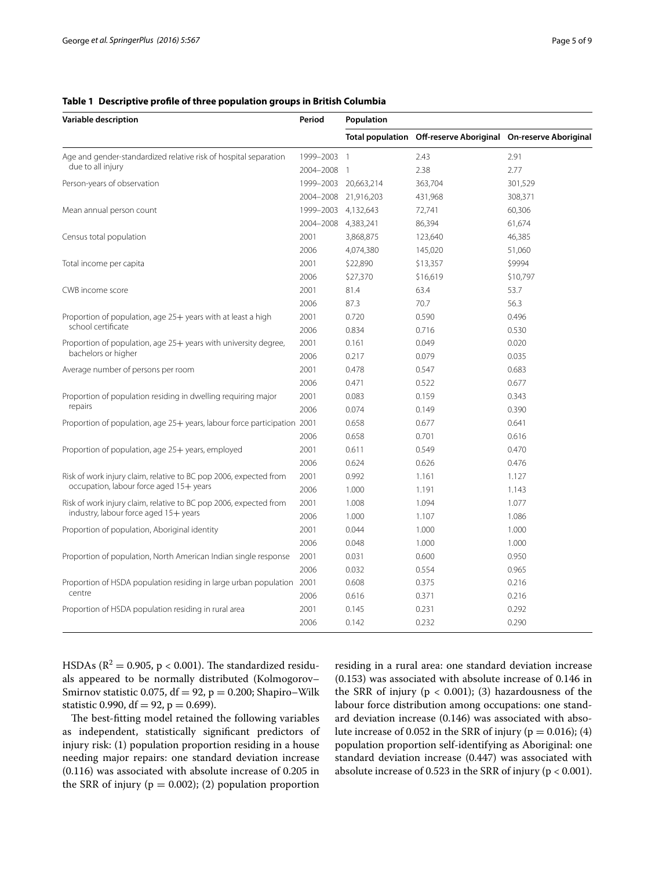# <span id="page-4-0"></span>**Table 1 Descriptive profile of three population groups in British Columbia**

| Variable description                                                     | Period              | Population           |                                                               |          |  |  |  |
|--------------------------------------------------------------------------|---------------------|----------------------|---------------------------------------------------------------|----------|--|--|--|
|                                                                          |                     |                      | Total population Off-reserve Aboriginal On-reserve Aboriginal |          |  |  |  |
| Age and gender-standardized relative risk of hospital separation         | 1999-2003 1         |                      | 2.43                                                          | 2.91     |  |  |  |
| due to all injury                                                        | 2004-2008           | $\overline{1}$       | 2.38                                                          | 2.77     |  |  |  |
| Person-years of observation                                              |                     | 1999-2003 20,663,214 | 363,704                                                       | 301,529  |  |  |  |
|                                                                          |                     | 2004-2008 21,916,203 | 431,968                                                       | 308,371  |  |  |  |
| Mean annual person count                                                 | 1999-2003 4,132,643 |                      | 72,741                                                        | 60,306   |  |  |  |
|                                                                          | 2004-2008           | 4,383,241            | 86,394                                                        | 61,674   |  |  |  |
| Census total population                                                  | 2001                | 3,868,875            | 123,640                                                       | 46,385   |  |  |  |
|                                                                          | 2006                | 4,074,380            | 145,020                                                       | 51,060   |  |  |  |
| Total income per capita                                                  | 2001                | \$22,890             | \$13,357                                                      | \$9994   |  |  |  |
|                                                                          | 2006                | \$27,370             | \$16,619                                                      | \$10,797 |  |  |  |
| CWB income score                                                         | 2001                | 81.4                 | 63.4                                                          | 53.7     |  |  |  |
|                                                                          | 2006                | 87.3                 | 70.7                                                          | 56.3     |  |  |  |
| Proportion of population, age 25+ years with at least a high             | 2001                | 0.720                | 0.590                                                         | 0.496    |  |  |  |
| school certificate                                                       | 2006                | 0.834                | 0.716                                                         | 0.530    |  |  |  |
| Proportion of population, age 25+ years with university degree,          | 2001                | 0.161                | 0.049                                                         | 0.020    |  |  |  |
| bachelors or higher                                                      | 2006                | 0.217                | 0.079                                                         | 0.035    |  |  |  |
| Average number of persons per room                                       | 2001                | 0.478                | 0.547                                                         | 0.683    |  |  |  |
|                                                                          | 2006                | 0.471                | 0.522                                                         | 0.677    |  |  |  |
| Proportion of population residing in dwelling requiring major            | 2001                | 0.083                | 0.159                                                         | 0.343    |  |  |  |
| repairs                                                                  | 2006                | 0.074                | 0.149                                                         | 0.390    |  |  |  |
| Proportion of population, age 25+ years, labour force participation 2001 |                     | 0.658                | 0.677                                                         | 0.641    |  |  |  |
|                                                                          | 2006                | 0.658                | 0.701                                                         | 0.616    |  |  |  |
| Proportion of population, age 25+ years, employed                        | 2001                | 0.611                | 0.549                                                         | 0.470    |  |  |  |
|                                                                          | 2006                | 0.624                | 0.626                                                         | 0.476    |  |  |  |
| Risk of work injury claim, relative to BC pop 2006, expected from        | 2001                | 0.992                | 1.161                                                         | 1.127    |  |  |  |
| occupation, labour force aged 15+ years                                  | 2006                | 1.000                | 1.191                                                         | 1.143    |  |  |  |
| Risk of work injury claim, relative to BC pop 2006, expected from        | 2001                | 1.008                | 1.094                                                         | 1.077    |  |  |  |
| industry, labour force aged 15+ years                                    | 2006                | 1.000                | 1.107                                                         | 1.086    |  |  |  |
| Proportion of population, Aboriginal identity                            | 2001                | 0.044                | 1.000                                                         | 1.000    |  |  |  |
|                                                                          | 2006                | 0.048                | 1.000                                                         | 1.000    |  |  |  |
| Proportion of population, North American Indian single response          | 2001                | 0.031                | 0.600                                                         | 0.950    |  |  |  |
|                                                                          | 2006                | 0.032                | 0.554                                                         | 0.965    |  |  |  |
| Proportion of HSDA population residing in large urban population         | 2001                | 0.608                | 0.375                                                         | 0.216    |  |  |  |
| centre                                                                   | 2006                | 0.616                | 0.371                                                         | 0.216    |  |  |  |
| Proportion of HSDA population residing in rural area                     | 2001                | 0.145                | 0.231                                                         | 0.292    |  |  |  |
|                                                                          | 2006                | 0.142                | 0.232                                                         | 0.290    |  |  |  |

HSDAs ( $\mathbb{R}^2 = 0.905$ , p < 0.001). The standardized residuals appeared to be normally distributed (Kolmogorov– Smirnov statistic 0.075,  $df = 92$ ,  $p = 0.200$ ; Shapiro–Wilk statistic 0.990, df = 92, p = 0.699).

The best-fitting model retained the following variables as independent, statistically significant predictors of injury risk: (1) population proportion residing in a house needing major repairs: one standard deviation increase (0.116) was associated with absolute increase of 0.205 in the SRR of injury ( $p = 0.002$ ); (2) population proportion residing in a rural area: one standard deviation increase (0.153) was associated with absolute increase of 0.146 in the SRR of injury ( $p < 0.001$ ); (3) hazardousness of the labour force distribution among occupations: one standard deviation increase (0.146) was associated with absolute increase of 0.052 in the SRR of injury ( $p = 0.016$ ); (4) population proportion self-identifying as Aboriginal: one standard deviation increase (0.447) was associated with absolute increase of 0.523 in the SRR of injury ( $p < 0.001$ ).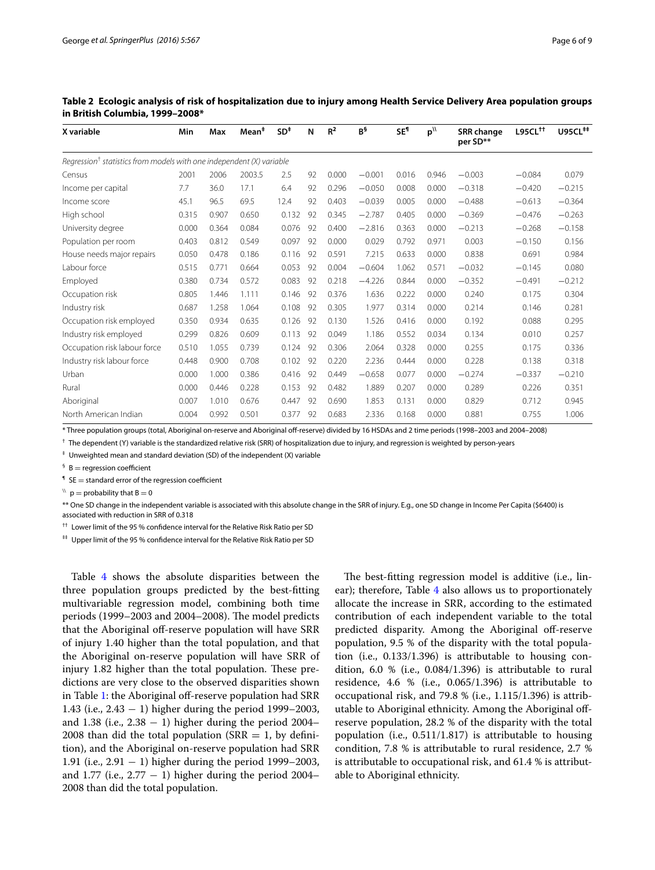| X variable                                                                       | Min   | Max   | Mean <sup>#</sup> | $SD^*$ | N  | $R^2$ | $B^{\$}$ | SE <sup>¶</sup> | $p^{\prime\prime}$ | SRR change<br>per SD** | $L95CL$ <sup>++</sup> | U95CL#   |
|----------------------------------------------------------------------------------|-------|-------|-------------------|--------|----|-------|----------|-----------------|--------------------|------------------------|-----------------------|----------|
| Regression <sup>†</sup> statistics from models with one independent (X) variable |       |       |                   |        |    |       |          |                 |                    |                        |                       |          |
| Census                                                                           | 2001  | 2006  | 2003.5            | 2.5    | 92 | 0.000 | $-0.001$ | 0.016           | 0.946              | $-0.003$               | $-0.084$              | 0.079    |
| Income per capital                                                               | 7.7   | 36.0  | 17.1              | 6.4    | 92 | 0.296 | $-0.050$ | 0.008           | 0.000              | $-0.318$               | $-0.420$              | $-0.215$ |
| Income score                                                                     | 45.1  | 96.5  | 69.5              | 12.4   | 92 | 0.403 | $-0.039$ | 0.005           | 0.000              | $-0.488$               | $-0.613$              | $-0.364$ |
| High school                                                                      | 0.315 | 0.907 | 0.650             | 0.132  | 92 | 0.345 | $-2.787$ | 0.405           | 0.000              | $-0.369$               | $-0.476$              | $-0.263$ |
| University degree                                                                | 0.000 | 0.364 | 0.084             | 0.076  | 92 | 0.400 | $-2.816$ | 0.363           | 0.000              | $-0.213$               | $-0.268$              | $-0.158$ |
| Population per room                                                              | 0.403 | 0.812 | 0.549             | 0.097  | 92 | 0.000 | 0.029    | 0.792           | 0.971              | 0.003                  | $-0.150$              | 0.156    |
| House needs major repairs                                                        | 0.050 | 0.478 | 0.186             | 0.116  | 92 | 0.591 | 7.215    | 0.633           | 0.000              | 0.838                  | 0.691                 | 0.984    |
| Labour force                                                                     | 0.515 | 0.771 | 0.664             | 0.053  | 92 | 0.004 | $-0.604$ | 1.062           | 0.571              | $-0.032$               | $-0.145$              | 0.080    |
| Employed                                                                         | 0.380 | 0.734 | 0.572             | 0.083  | 92 | 0.218 | $-4.226$ | 0.844           | 0.000              | $-0.352$               | $-0.491$              | $-0.212$ |
| Occupation risk                                                                  | 0.805 | 1.446 | 1.111             | 0.146  | 92 | 0.376 | 1.636    | 0.222           | 0.000              | 0.240                  | 0.175                 | 0.304    |
| Industry risk                                                                    | 0.687 | 1.258 | 1.064             | 0.108  | 92 | 0.305 | 1.977    | 0.314           | 0.000              | 0.214                  | 0.146                 | 0.281    |
| Occupation risk employed                                                         | 0.350 | 0.934 | 0.635             | 0.126  | 92 | 0.130 | 1.526    | 0.416           | 0.000              | 0.192                  | 0.088                 | 0.295    |
| Industry risk employed                                                           | 0.299 | 0.826 | 0.609             | 0.113  | 92 | 0.049 | 1.186    | 0.552           | 0.034              | 0.134                  | 0.010                 | 0.257    |
| Occupation risk labour force                                                     | 0.510 | 1.055 | 0.739             | 0.124  | 92 | 0.306 | 2.064    | 0.328           | 0.000              | 0.255                  | 0.175                 | 0.336    |
| Industry risk labour force                                                       | 0.448 | 0.900 | 0.708             | 0.102  | 92 | 0.220 | 2.236    | 0.444           | 0.000              | 0.228                  | 0.138                 | 0.318    |
| Urban                                                                            | 0.000 | 1.000 | 0.386             | 0.416  | 92 | 0.449 | $-0.658$ | 0.077           | 0.000              | $-0.274$               | $-0.337$              | $-0.210$ |
| Rural                                                                            | 0.000 | 0.446 | 0.228             | 0.153  | 92 | 0.482 | 1.889    | 0.207           | 0.000              | 0.289                  | 0.226                 | 0.351    |
| Aboriginal                                                                       | 0.007 | 1.010 | 0.676             | 0.447  | 92 | 0.690 | 1.853    | 0.131           | 0.000              | 0.829                  | 0.712                 | 0.945    |
| North American Indian                                                            | 0.004 | 0.992 | 0.501             | 0.377  | 92 | 0.683 | 2.336    | 0.168           | 0.000              | 0.881                  | 0.755                 | 1.006    |

<span id="page-5-0"></span>**Table 2 Ecologic analysis of risk of hospitalization due to injury among Health Service Delivery Area population groups in British Columbia, 1999–2008\***

\* Three population groups (total, Aboriginal on-reserve and Aboriginal off-reserve) divided by 16 HSDAs and 2 time periods (1998–2003 and 2004–2008)

† The dependent (Y) variable is the standardized relative risk (SRR) of hospitalization due to injury, and regression is weighted by person-years

‡ Unweighted mean and standard deviation (SD) of the independent (X) variable

 $§$  B = regression coefficient

 $9$  SE = standard error of the regression coefficient

 $\aleph p$  = probability that  $B = 0$ 

\*\* One SD change in the independent variable is associated with this absolute change in the SRR of injury. E.g., one SD change in Income Per Capita (\$6400) is associated with reduction in SRR of 0.318

†† Lower limit of the 95 % confidence interval for the Relative Risk Ratio per SD

‡‡ Upper limit of the 95 % confidence interval for the Relative Risk Ratio per SD

Table [4](#page-6-1) shows the absolute disparities between the three population groups predicted by the best-fitting multivariable regression model, combining both time periods (1999–2003 and 2004–2008). The model predicts that the Aboriginal off-reserve population will have SRR of injury 1.40 higher than the total population, and that the Aboriginal on-reserve population will have SRR of injury 1.82 higher than the total population. These predictions are very close to the observed disparities shown in Table [1:](#page-4-0) the Aboriginal off-reserve population had SRR 1.43 (i.e., 2.43 − 1) higher during the period 1999–2003, and 1.38 (i.e.,  $2.38 - 1$ ) higher during the period 2004– 2008 than did the total population (SRR  $=$  1, by definition), and the Aboriginal on-reserve population had SRR 1.91 (i.e., 2.91 − 1) higher during the period 1999–2003, and 1.77 (i.e.,  $2.77 - 1$ ) higher during the period 2004– 2008 than did the total population.

The best-fitting regression model is additive (i.e., lin-ear); therefore, Table [4](#page-6-1) also allows us to proportionately allocate the increase in SRR, according to the estimated contribution of each independent variable to the total predicted disparity. Among the Aboriginal off-reserve population, 9.5 % of the disparity with the total population (i.e., 0.133/1.396) is attributable to housing condition,  $6.0 \%$  (i.e.,  $0.084/1.396$ ) is attributable to rural residence, 4.6 % (i.e., 0.065/1.396) is attributable to occupational risk, and 79.8 % (i.e., 1.115/1.396) is attributable to Aboriginal ethnicity. Among the Aboriginal offreserve population, 28.2 % of the disparity with the total population (i.e., 0.511/1.817) is attributable to housing condition, 7.8 % is attributable to rural residence, 2.7 % is attributable to occupational risk, and 61.4 % is attributable to Aboriginal ethnicity.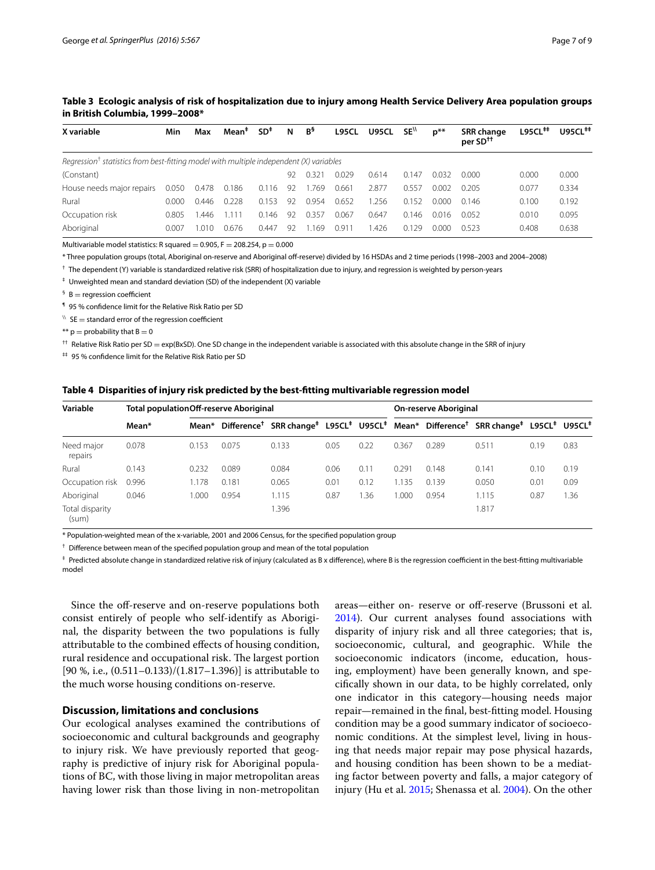## <span id="page-6-0"></span>**Table 3 Ecologic analysis of risk of hospitalization due to injury among Health Service Delivery Area population groups in British Columbia, 1999–2008\***

| X variable                                                                                         | Min   | Max    | Mean <sup>‡</sup> | $SD^*$ | N  | $B^s$ | <b>L95CL</b> | <b>U95CL</b> | $SE$ <sup>\\</sup> | $p**$ | <b>SRR</b> change<br>per SD <sup>++</sup> | $L95CL$ <sup>##</sup> | <b>U95CL##</b> |
|----------------------------------------------------------------------------------------------------|-------|--------|-------------------|--------|----|-------|--------------|--------------|--------------------|-------|-------------------------------------------|-----------------------|----------------|
| Regression <sup>†</sup> statistics from best-fitting model with multiple independent (X) variables |       |        |                   |        |    |       |              |              |                    |       |                                           |                       |                |
| (Constant)                                                                                         |       |        |                   |        | 92 | 0.321 | 0.029        | 0.614        | 0.147              | 0.032 | 0.000                                     | 0.000                 | 0.000          |
| House needs major repairs                                                                          | 0.050 | 0.478  | 0.186             | 0.116  | 92 | 1.769 | 0.661        | 2.877        | 0.557              | 0.002 | 0.205                                     | 0.077                 | 0.334          |
| Rural                                                                                              | 0.000 | 0.446  | 0.228             | 0153   | 92 | 0.954 | 0.652        | .256         | 0.152              | 0.000 | 0.146                                     | 0.100                 | 0.192          |
| Occupation risk                                                                                    | 0.805 | .446   | 1 1 1 1           | 0.146  | 92 | 0.357 | 0.067        | 0.647        | 0.146              | 0.016 | 0.052                                     | 0.010                 | 0.095          |
| Aboriginal                                                                                         | 0.007 | 1 010. | 0.676             | 0.447  | 92 | 1.169 | 0.911        | .426         | 0.129              | 0.000 | 0.523                                     | 0.408                 | 0.638          |

Multivariable model statistics: R squared  $= 0.905$ , F  $= 208.254$ , p  $= 0.000$ 

\* Three population groups (total, Aboriginal on-reserve and Aboriginal off-reserve) divided by 16 HSDAs and 2 time periods (1998–2003 and 2004–2008)

† The dependent (Y) variable is standardized relative risk (SRR) of hospitalization due to injury, and regression is weighted by person-years

‡ Unweighted mean and standard deviation (SD) of the independent (X) variable

 $§$  B = regression coefficient

¶ 95 % confidence limit for the Relative Risk Ratio per SD

 $\%$  SE = standard error of the regression coefficient

\*\*  $p =$  probability that  $B = 0$ 

†† Relative Risk Ratio per SD = exp(BxSD). One SD change in the independent variable is associated with this absolute change in the SRR of injury

‡‡ 95 % confidence limit for the Relative Risk Ratio per SD

<span id="page-6-1"></span>

|  |  | Table 4 Disparities of injury risk predicted by the best-fitting multivariable regression model |  |
|--|--|-------------------------------------------------------------------------------------------------|--|
|  |  |                                                                                                 |  |

| Variable                 |       |       | Total population Off-reserve Aboriginal |                                                                                                                                                                                         | <b>On-reserve Aboriginal</b> |      |       |       |       |      |      |
|--------------------------|-------|-------|-----------------------------------------|-----------------------------------------------------------------------------------------------------------------------------------------------------------------------------------------|------------------------------|------|-------|-------|-------|------|------|
|                          | Mean* |       |                                         | Mean* Difference <sup>†</sup> SRR change <sup>‡</sup> L95CL <sup>‡</sup> U95CL <sup>‡</sup> Mean* Difference <sup>†</sup> SRR change <sup>‡</sup> L95CL <sup>‡</sup> U95CL <sup>‡</sup> |                              |      |       |       |       |      |      |
| Need major<br>repairs    | 0.078 | 0.153 | 0.075                                   | 0.133                                                                                                                                                                                   | 0.05                         | 0.22 | 0.367 | 0.289 | 0.511 | 0.19 | 0.83 |
| Rural                    | 0.143 | 0.232 | 0.089                                   | 0.084                                                                                                                                                                                   | 0.06                         | 0.11 | 0.291 | 0.148 | 0.141 | 0.10 | 0.19 |
| Occupation risk          | 0.996 | 1.178 | 0.181                                   | 0.065                                                                                                                                                                                   | 0.01                         | 0.12 | 1.135 | 0.139 | 0.050 | 0.01 | 0.09 |
| Aboriginal               | 0.046 | .000  | 0.954                                   | 1.115                                                                                                                                                                                   | 0.87                         | .36  | 1.000 | 0.954 | 1.115 | 0.87 | 1.36 |
| Total disparity<br>(sum) |       |       |                                         | .396                                                                                                                                                                                    |                              |      |       |       | 1.817 |      |      |

\* Population-weighted mean of the x-variable, 2001 and 2006 Census, for the specified population group

† Difference between mean of the specified population group and mean of the total population

‡ Predicted absolute change in standardized relative risk of injury (calculated as B x difference), where B is the regression coefficient in the best-fitting multivariable model

Since the off-reserve and on-reserve populations both consist entirely of people who self-identify as Aboriginal, the disparity between the two populations is fully attributable to the combined effects of housing condition, rural residence and occupational risk. The largest portion [90 %, i.e., (0.511–0.133)/(1.817–1.396)] is attributable to the much worse housing conditions on-reserve.

#### **Discussion, limitations and conclusions**

Our ecological analyses examined the contributions of socioeconomic and cultural backgrounds and geography to injury risk. We have previously reported that geography is predictive of injury risk for Aboriginal populations of BC, with those living in major metropolitan areas having lower risk than those living in non-metropolitan

areas—either on- reserve or off-reserve (Brussoni et al. [2014](#page-7-4)). Our current analyses found associations with disparity of injury risk and all three categories; that is, socioeconomic, cultural, and geographic. While the socioeconomic indicators (income, education, housing, employment) have been generally known, and specifically shown in our data, to be highly correlated, only one indicator in this category—housing needs major repair—remained in the final, best-fitting model. Housing condition may be a good summary indicator of socioeconomic conditions. At the simplest level, living in housing that needs major repair may pose physical hazards, and housing condition has been shown to be a mediating factor between poverty and falls, a major category of injury (Hu et al. [2015;](#page-8-22) Shenassa et al. [2004\)](#page-8-23). On the other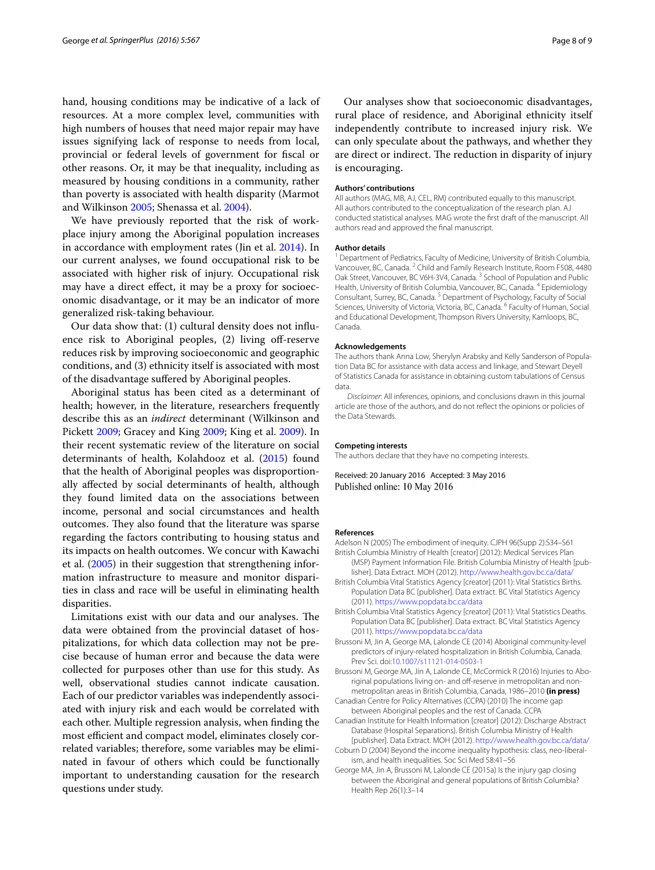hand, housing conditions may be indicative of a lack of resources. At a more complex level, communities with high numbers of houses that need major repair may have issues signifying lack of response to needs from local, provincial or federal levels of government for fiscal or other reasons. Or, it may be that inequality, including as measured by housing conditions in a community, rather than poverty is associated with health disparity (Marmot and Wilkinson [2005](#page-8-4); Shenassa et al. [2004](#page-8-23)).

We have previously reported that the risk of workplace injury among the Aboriginal population increases in accordance with employment rates (Jin et al. [2014\)](#page-8-19). In our current analyses, we found occupational risk to be associated with higher risk of injury. Occupational risk may have a direct effect, it may be a proxy for socioeconomic disadvantage, or it may be an indicator of more generalized risk-taking behaviour.

Our data show that: (1) cultural density does not influence risk to Aboriginal peoples, (2) living off-reserve reduces risk by improving socioeconomic and geographic conditions, and (3) ethnicity itself is associated with most of the disadvantage suffered by Aboriginal peoples.

Aboriginal status has been cited as a determinant of health; however, in the literature, researchers frequently describe this as an *indirect* determinant (Wilkinson and Pickett [2009;](#page-8-24) Gracey and King [2009](#page-8-25); King et al. [2009\)](#page-8-26). In their recent systematic review of the literature on social determinants of health, Kolahdooz et al. [\(2015\)](#page-8-0) found that the health of Aboriginal peoples was disproportionally affected by social determinants of health, although they found limited data on the associations between income, personal and social circumstances and health outcomes. They also found that the literature was sparse regarding the factors contributing to housing status and its impacts on health outcomes. We concur with Kawachi et al. ([2005\)](#page-8-14) in their suggestion that strengthening information infrastructure to measure and monitor disparities in class and race will be useful in eliminating health disparities.

Limitations exist with our data and our analyses. The data were obtained from the provincial dataset of hospitalizations, for which data collection may not be precise because of human error and because the data were collected for purposes other than use for this study. As well, observational studies cannot indicate causation. Each of our predictor variables was independently associated with injury risk and each would be correlated with each other. Multiple regression analysis, when finding the most efficient and compact model, eliminates closely correlated variables; therefore, some variables may be eliminated in favour of others which could be functionally important to understanding causation for the research questions under study.

Our analyses show that socioeconomic disadvantages, rural place of residence, and Aboriginal ethnicity itself independently contribute to increased injury risk. We can only speculate about the pathways, and whether they are direct or indirect. The reduction in disparity of injury is encouraging.

#### **Authors' contributions**

All authors (MAG, MB, AJ, CEL, RM) contributed equally to this manuscript. All authors contributed to the conceptualization of the research plan. AJ conducted statistical analyses. MAG wrote the first draft of the manuscript. All authors read and approved the final manuscript.

#### **Author details**

<sup>1</sup> Department of Pediatrics, Faculty of Medicine, University of British Columbia, Vancouver, BC, Canada. <sup>2</sup> Child and Family Research Institute, Room F508, 4480 Oak Street, Vancouver, BC V6H-3V4, Canada.<sup>3</sup> School of Population and Public Health, University of British Columbia, Vancouver, BC, Canada. 4 Epidemiology Consultant, Surrey, BC, Canada. 5 Department of Psychology, Faculty of Social Sciences, University of Victoria, Victoria, BC, Canada. <sup>6</sup> Faculty of Human, Social and Educational Development, Thompson Rivers University, Kamloops, BC, Canada.

#### **Acknowledgements**

The authors thank Anna Low, Sherylyn Arabsky and Kelly Sanderson of Population Data BC for assistance with data access and linkage, and Stewart Deyell of Statistics Canada for assistance in obtaining custom tabulations of Census data

*Disclaimer*: All inferences, opinions, and conclusions drawn in this journal article are those of the authors, and do not reflect the opinions or policies of the Data Stewards.

#### **Competing interests**

The authors declare that they have no competing interests.

Received: 20 January 2016 Accepted: 3 May 2016 Published online: 10 May 2016

#### **References**

- <span id="page-7-8"></span><span id="page-7-1"></span>Adelson N (2005) The embodiment of inequity. CJPH 96(Supp 2):S34–S61 British Columbia Ministry of Health [creator] (2012): Medical Services Plan (MSP) Payment Information File. British Columbia Ministry of Health [pub-
- <span id="page-7-6"></span>lisher]. Data Extract. MOH (2012).<http://www.health.gov.bc.ca/data/> British Columbia Vital Statistics Agency [creator] (2011): Vital Statistics Births. Population Data BC [publisher]. Data extract. BC Vital Statistics Agency (2011).<https://www.popdata.bc.ca/data>
- <span id="page-7-7"></span>British Columbia Vital Statistics Agency [creator] (2011): Vital Statistics Deaths. Population Data BC [publisher]. Data extract. BC Vital Statistics Agency (2011).<https://www.popdata.bc.ca/data>
- <span id="page-7-4"></span>Brussoni M, Jin A, George MA, Lalonde CE (2014) Aboriginal community-level predictors of injury-related hospitalization in British Columbia, Canada. Prev Sci. doi[:10.1007/s11121-014-0503-1](http://dx.doi.org/10.1007/s11121-014-0503-1)
- <span id="page-7-9"></span>Brussoni M, George MA, Jin A, Lalonde CE, McCormick R (2016) Injuries to Aboriginal populations living on- and off-reserve in metropolitan and nonmetropolitan areas in British Columbia, Canada, 1986–2010 **(in press)**
- <span id="page-7-0"></span>Canadian Centre for Policy Alternatives (CCPA) (2010) The income gap between Aboriginal peoples and the rest of Canada. CCPA
- <span id="page-7-5"></span>Canadian Institute for Health Information [creator] (2012): Discharge Abstract Database (Hospital Separations). British Columbia Ministry of Health [publisher]. Data Extract. MOH (2012). <http://www.health.gov.bc.ca/data/>
- <span id="page-7-2"></span>Coburn D (2004) Beyond the income inequality hypothesis: class, neo-liberalism, and health inequalities. Soc Sci Med 58:41–56
- <span id="page-7-3"></span>George MA, Jin A, Brussoni M, Lalonde CE (2015a) Is the injury gap closing between the Aboriginal and general populations of British Columbia? Health Rep 26(1):3–14